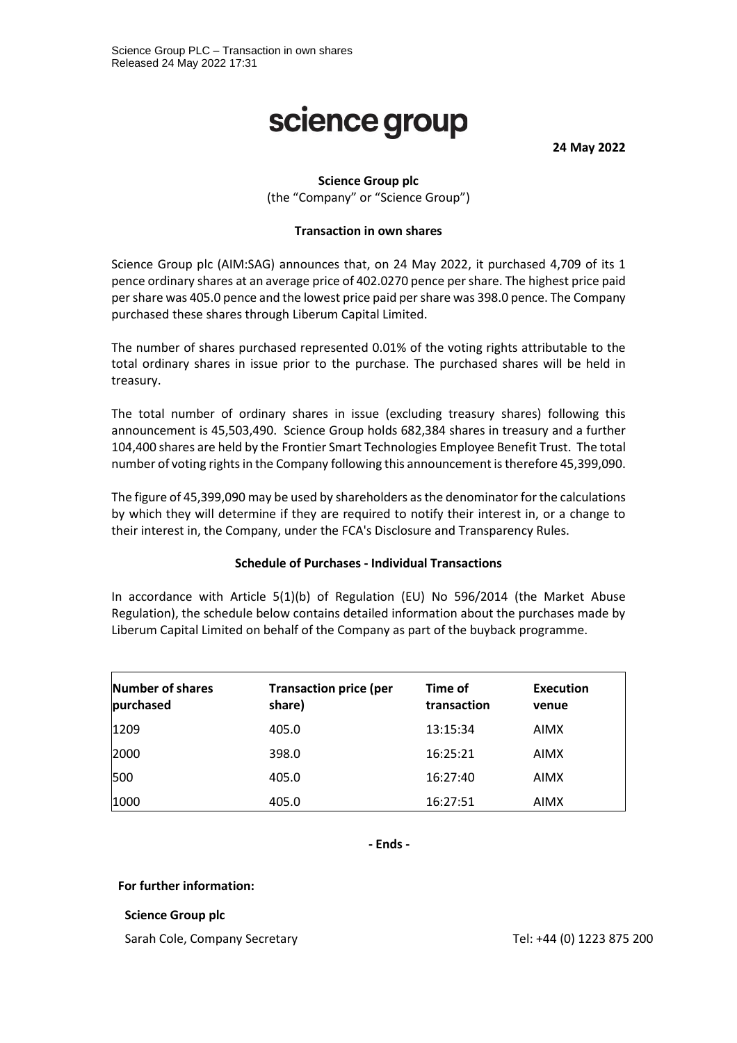# science group

**24 May 2022**

# **Science Group plc**

(the "Company" or "Science Group")

#### **Transaction in own shares**

Science Group plc (AIM:SAG) announces that, on 24 May 2022, it purchased 4,709 of its 1 pence ordinary shares at an average price of 402.0270 pence per share. The highest price paid per share was 405.0 pence and the lowest price paid per share was 398.0 pence. The Company purchased these shares through Liberum Capital Limited.

The number of shares purchased represented 0.01% of the voting rights attributable to the total ordinary shares in issue prior to the purchase. The purchased shares will be held in treasury.

The total number of ordinary shares in issue (excluding treasury shares) following this announcement is 45,503,490. Science Group holds 682,384 shares in treasury and a further 104,400 shares are held by the Frontier Smart Technologies Employee Benefit Trust. The total number of voting rights in the Company following this announcement is therefore 45,399,090.

The figure of 45,399,090 may be used by shareholders as the denominator for the calculations by which they will determine if they are required to notify their interest in, or a change to their interest in, the Company, under the FCA's Disclosure and Transparency Rules.

### **Schedule of Purchases - Individual Transactions**

In accordance with Article 5(1)(b) of Regulation (EU) No 596/2014 (the Market Abuse Regulation), the schedule below contains detailed information about the purchases made by Liberum Capital Limited on behalf of the Company as part of the buyback programme.

| <b>Number of shares</b><br>purchased | <b>Transaction price (per</b><br>share) | Time of<br>transaction | <b>Execution</b><br>venue |
|--------------------------------------|-----------------------------------------|------------------------|---------------------------|
| 1209                                 | 405.0                                   | 13:15:34               | <b>AIMX</b>               |
| 2000                                 | 398.0                                   | 16:25:21               | <b>AIMX</b>               |
| 500                                  | 405.0                                   | 16:27:40               | <b>AIMX</b>               |
| 1000                                 | 405.0                                   | 16:27:51               | <b>AIMX</b>               |

**- Ends -**

#### **For further information:**

#### **Science Group plc**

Sarah Cole, Company Secretary Tel: +44 (0) 1223 875 200